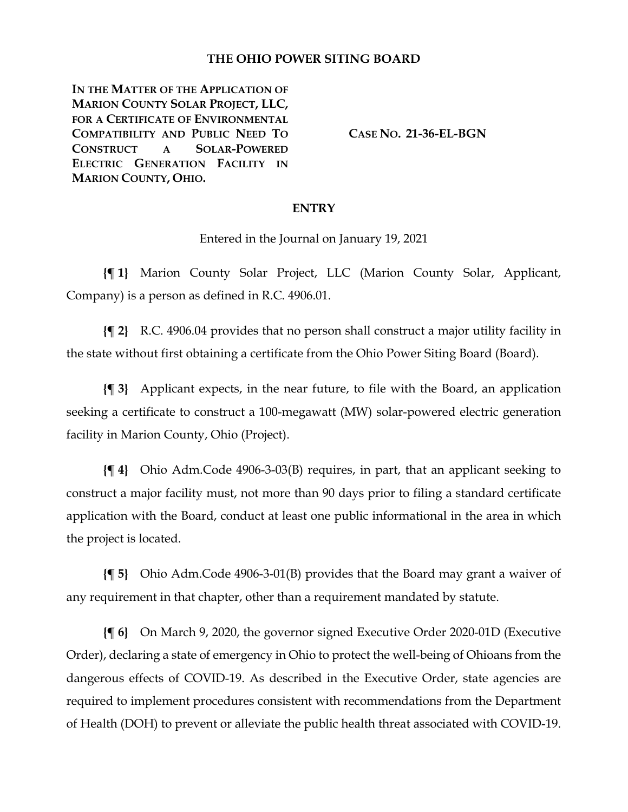#### **THE OHIO POWER SITING BOARD**

**IN THE MATTER OF THE APPLICATION OF MARION COUNTY SOLAR PROJECT, LLC, FOR A CERTIFICATE OF ENVIRONMENTAL COMPATIBILITY AND PUBLIC NEED TO CONSTRUCT A SOLAR-POWERED ELECTRIC GENERATION FACILITY IN MARION COUNTY, OHIO.**

**CASE NO. 21-36-EL-BGN**

#### **ENTRY**

Entered in the Journal on January 19, 2021

**{¶ 1}** Marion County Solar Project, LLC (Marion County Solar, Applicant, Company) is a person as defined in R.C. 4906.01.

**{¶ 2}** R.C. 4906.04 provides that no person shall construct a major utility facility in the state without first obtaining a certificate from the Ohio Power Siting Board (Board).

**{¶ 3}** Applicant expects, in the near future, to file with the Board, an application seeking a certificate to construct a 100-megawatt (MW) solar-powered electric generation facility in Marion County, Ohio (Project).

**{¶ 4}** Ohio Adm.Code 4906-3-03(B) requires, in part, that an applicant seeking to construct a major facility must, not more than 90 days prior to filing a standard certificate application with the Board, conduct at least one public informational in the area in which the project is located.

**{¶ 5}** Ohio Adm.Code 4906-3-01(B) provides that the Board may grant a waiver of any requirement in that chapter, other than a requirement mandated by statute.

**{¶ 6}** On March 9, 2020, the governor signed Executive Order 2020-01D (Executive Order), declaring a state of emergency in Ohio to protect the well-being of Ohioans from the dangerous effects of COVID-19. As described in the Executive Order, state agencies are required to implement procedures consistent with recommendations from the Department of Health (DOH) to prevent or alleviate the public health threat associated with COVID-19.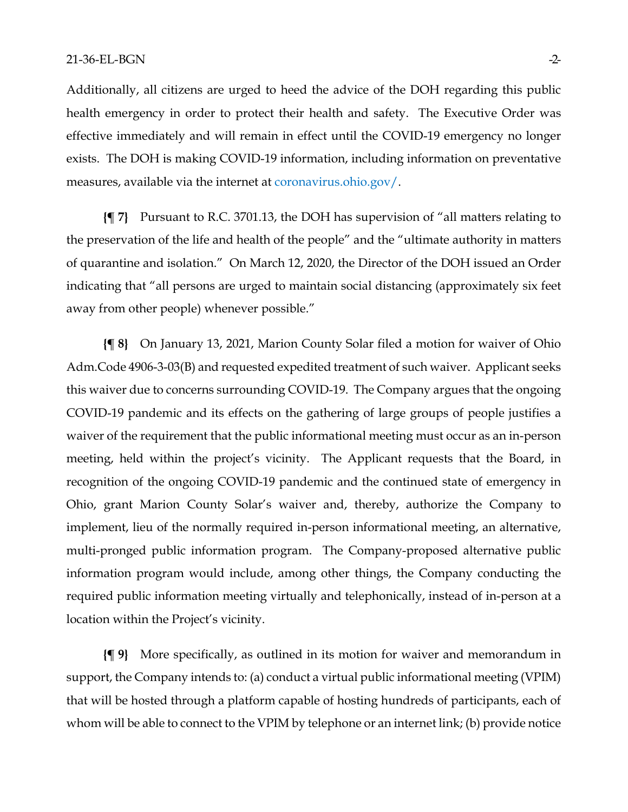Additionally, all citizens are urged to heed the advice of the DOH regarding this public health emergency in order to protect their health and safety. The Executive Order was effective immediately and will remain in effect until the COVID-19 emergency no longer exists. The DOH is making COVID-19 information, including information on preventative measures, available via the internet at coronavirus.ohio.gov/.

**{¶ 7}** Pursuant to R.C. 3701.13, the DOH has supervision of "all matters relating to the preservation of the life and health of the people" and the "ultimate authority in matters of quarantine and isolation." On March 12, 2020, the Director of the DOH issued an Order indicating that "all persons are urged to maintain social distancing (approximately six feet away from other people) whenever possible."

**{¶ 8}** On January 13, 2021, Marion County Solar filed a motion for waiver of Ohio Adm.Code 4906-3-03(B) and requested expedited treatment of such waiver. Applicant seeks this waiver due to concerns surrounding COVID-19. The Company argues that the ongoing COVID-19 pandemic and its effects on the gathering of large groups of people justifies a waiver of the requirement that the public informational meeting must occur as an in-person meeting, held within the project's vicinity. The Applicant requests that the Board, in recognition of the ongoing COVID-19 pandemic and the continued state of emergency in Ohio, grant Marion County Solar's waiver and, thereby, authorize the Company to implement, lieu of the normally required in-person informational meeting, an alternative, multi-pronged public information program. The Company-proposed alternative public information program would include, among other things, the Company conducting the required public information meeting virtually and telephonically, instead of in-person at a location within the Project's vicinity.

**{¶ 9}** More specifically, as outlined in its motion for waiver and memorandum in support, the Company intends to: (a) conduct a virtual public informational meeting (VPIM) that will be hosted through a platform capable of hosting hundreds of participants, each of whom will be able to connect to the VPIM by telephone or an internet link; (b) provide notice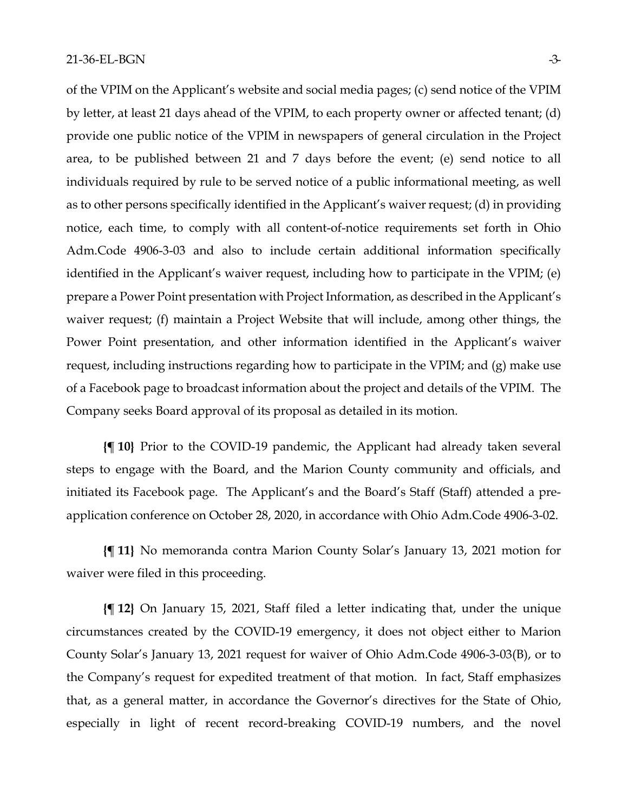of the VPIM on the Applicant's website and social media pages; (c) send notice of the VPIM by letter, at least 21 days ahead of the VPIM, to each property owner or affected tenant; (d) provide one public notice of the VPIM in newspapers of general circulation in the Project area, to be published between 21 and 7 days before the event; (e) send notice to all individuals required by rule to be served notice of a public informational meeting, as well as to other persons specifically identified in the Applicant's waiver request; (d) in providing notice, each time, to comply with all content-of-notice requirements set forth in Ohio Adm.Code 4906-3-03 and also to include certain additional information specifically identified in the Applicant's waiver request, including how to participate in the VPIM; (e) prepare a Power Point presentation with Project Information, as described in the Applicant's waiver request; (f) maintain a Project Website that will include, among other things, the Power Point presentation, and other information identified in the Applicant's waiver request, including instructions regarding how to participate in the VPIM; and (g) make use of a Facebook page to broadcast information about the project and details of the VPIM. The Company seeks Board approval of its proposal as detailed in its motion.

**{¶ 10}** Prior to the COVID-19 pandemic, the Applicant had already taken several steps to engage with the Board, and the Marion County community and officials, and initiated its Facebook page. The Applicant's and the Board's Staff (Staff) attended a preapplication conference on October 28, 2020, in accordance with Ohio Adm.Code 4906-3-02.

**{¶ 11}** No memoranda contra Marion County Solar's January 13, 2021 motion for waiver were filed in this proceeding.

**{¶ 12}** On January 15, 2021, Staff filed a letter indicating that, under the unique circumstances created by the COVID-19 emergency, it does not object either to Marion County Solar's January 13, 2021 request for waiver of Ohio Adm.Code 4906-3-03(B), or to the Company's request for expedited treatment of that motion. In fact, Staff emphasizes that, as a general matter, in accordance the Governor's directives for the State of Ohio, especially in light of recent record-breaking COVID-19 numbers, and the novel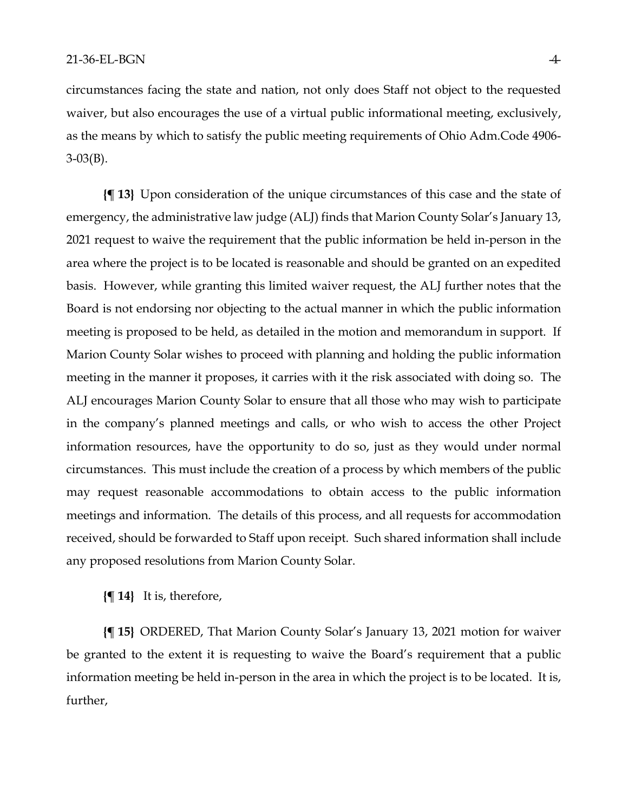circumstances facing the state and nation, not only does Staff not object to the requested waiver, but also encourages the use of a virtual public informational meeting, exclusively, as the means by which to satisfy the public meeting requirements of Ohio Adm.Code 4906- 3-03(B).

**{¶ 13}** Upon consideration of the unique circumstances of this case and the state of emergency, the administrative law judge (ALJ) finds that Marion County Solar's January 13, 2021 request to waive the requirement that the public information be held in-person in the area where the project is to be located is reasonable and should be granted on an expedited basis. However, while granting this limited waiver request, the ALJ further notes that the Board is not endorsing nor objecting to the actual manner in which the public information meeting is proposed to be held, as detailed in the motion and memorandum in support. If Marion County Solar wishes to proceed with planning and holding the public information meeting in the manner it proposes, it carries with it the risk associated with doing so. The ALJ encourages Marion County Solar to ensure that all those who may wish to participate in the company's planned meetings and calls, or who wish to access the other Project information resources, have the opportunity to do so, just as they would under normal circumstances. This must include the creation of a process by which members of the public may request reasonable accommodations to obtain access to the public information meetings and information. The details of this process, and all requests for accommodation received, should be forwarded to Staff upon receipt. Such shared information shall include any proposed resolutions from Marion County Solar.

### **{¶ 14}** It is, therefore,

**{¶ 15}** ORDERED, That Marion County Solar's January 13, 2021 motion for waiver be granted to the extent it is requesting to waive the Board's requirement that a public information meeting be held in-person in the area in which the project is to be located. It is, further,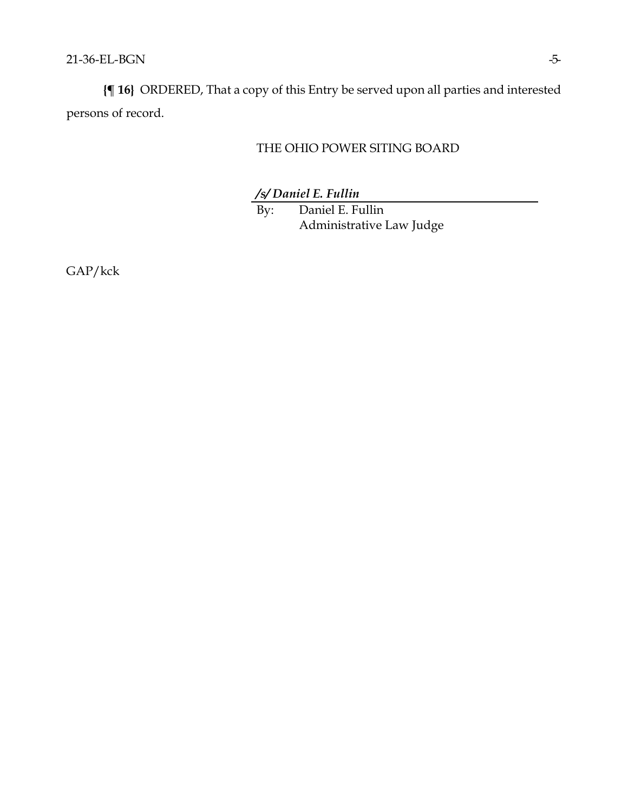**{¶ 16}** ORDERED, That a copy of this Entry be served upon all parties and interested persons of record.

# THE OHIO POWER SITING BOARD

*/s/ Daniel E. Fullin*

By: Daniel E. Fullin Administrative Law Judge

GAP/kck